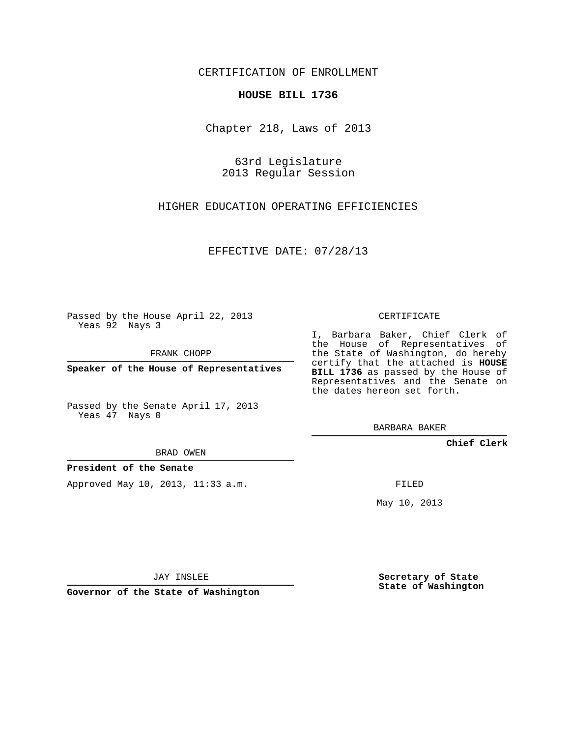CERTIFICATION OF ENROLLMENT

## **HOUSE BILL 1736**

Chapter 218, Laws of 2013

63rd Legislature 2013 Regular Session

HIGHER EDUCATION OPERATING EFFICIENCIES

EFFECTIVE DATE: 07/28/13

Passed by the House April 22, 2013 Yeas 92 Nays 3

FRANK CHOPP

**Speaker of the House of Representatives**

Passed by the Senate April 17, 2013 Yeas 47 Nays 0

BRAD OWEN

**President of the Senate**

Approved May 10, 2013, 11:33 a.m.

CERTIFICATE

I, Barbara Baker, Chief Clerk of the House of Representatives of the State of Washington, do hereby certify that the attached is **HOUSE BILL 1736** as passed by the House of Representatives and the Senate on the dates hereon set forth.

BARBARA BAKER

**Chief Clerk**

FILED

May 10, 2013

JAY INSLEE

**Governor of the State of Washington**

**Secretary of State State of Washington**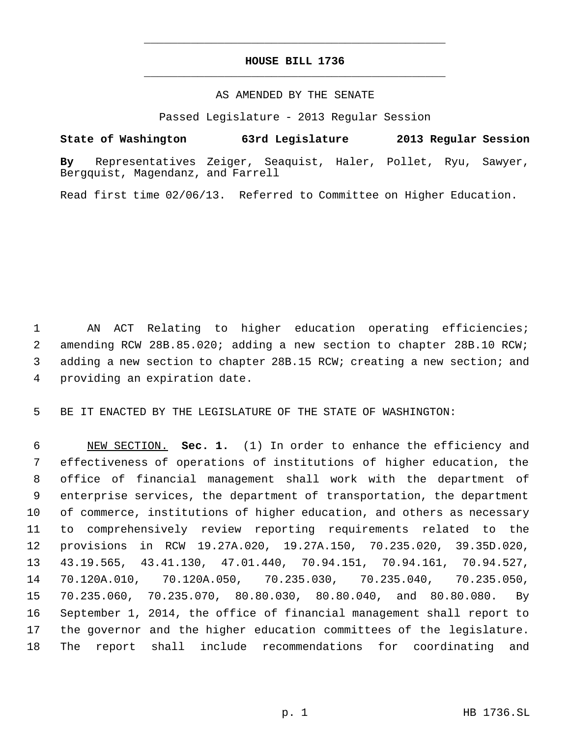## **HOUSE BILL 1736** \_\_\_\_\_\_\_\_\_\_\_\_\_\_\_\_\_\_\_\_\_\_\_\_\_\_\_\_\_\_\_\_\_\_\_\_\_\_\_\_\_\_\_\_\_

\_\_\_\_\_\_\_\_\_\_\_\_\_\_\_\_\_\_\_\_\_\_\_\_\_\_\_\_\_\_\_\_\_\_\_\_\_\_\_\_\_\_\_\_\_

## AS AMENDED BY THE SENATE

Passed Legislature - 2013 Regular Session

## **State of Washington 63rd Legislature 2013 Regular Session**

**By** Representatives Zeiger, Seaquist, Haler, Pollet, Ryu, Sawyer, Bergquist, Magendanz, and Farrell

Read first time 02/06/13. Referred to Committee on Higher Education.

 AN ACT Relating to higher education operating efficiencies; amending RCW 28B.85.020; adding a new section to chapter 28B.10 RCW; adding a new section to chapter 28B.15 RCW; creating a new section; and providing an expiration date.

BE IT ENACTED BY THE LEGISLATURE OF THE STATE OF WASHINGTON:

 NEW SECTION. **Sec. 1.** (1) In order to enhance the efficiency and effectiveness of operations of institutions of higher education, the office of financial management shall work with the department of enterprise services, the department of transportation, the department of commerce, institutions of higher education, and others as necessary to comprehensively review reporting requirements related to the provisions in RCW 19.27A.020, 19.27A.150, 70.235.020, 39.35D.020, 43.19.565, 43.41.130, 47.01.440, 70.94.151, 70.94.161, 70.94.527, 70.120A.010, 70.120A.050, 70.235.030, 70.235.040, 70.235.050, 70.235.060, 70.235.070, 80.80.030, 80.80.040, and 80.80.080. By September 1, 2014, the office of financial management shall report to the governor and the higher education committees of the legislature. The report shall include recommendations for coordinating and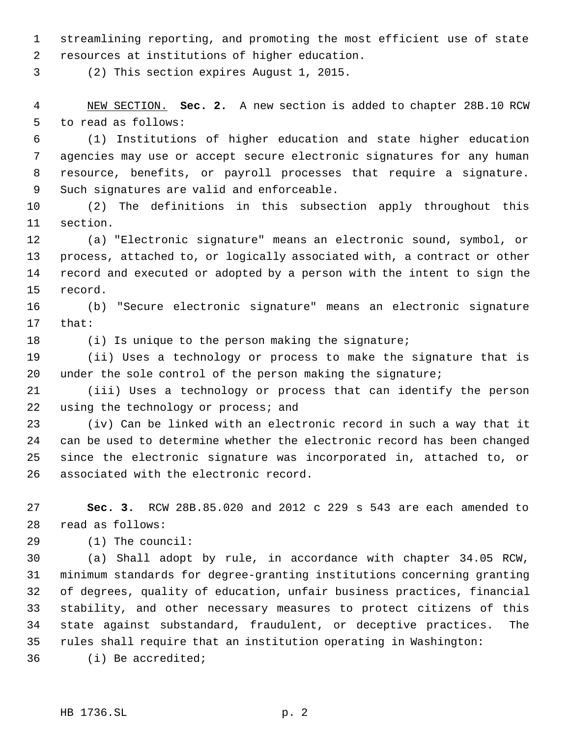streamlining reporting, and promoting the most efficient use of state resources at institutions of higher education.

(2) This section expires August 1, 2015.

 NEW SECTION. **Sec. 2.** A new section is added to chapter 28B.10 RCW to read as follows:

 (1) Institutions of higher education and state higher education agencies may use or accept secure electronic signatures for any human resource, benefits, or payroll processes that require a signature. Such signatures are valid and enforceable.

 (2) The definitions in this subsection apply throughout this section.

 (a) "Electronic signature" means an electronic sound, symbol, or process, attached to, or logically associated with, a contract or other record and executed or adopted by a person with the intent to sign the record.

 (b) "Secure electronic signature" means an electronic signature that:

18 (i) Is unique to the person making the signature;

 (ii) Uses a technology or process to make the signature that is 20 under the sole control of the person making the signature;

 (iii) Uses a technology or process that can identify the person 22 using the technology or process; and

 (iv) Can be linked with an electronic record in such a way that it can be used to determine whether the electronic record has been changed since the electronic signature was incorporated in, attached to, or associated with the electronic record.

 **Sec. 3.** RCW 28B.85.020 and 2012 c 229 s 543 are each amended to read as follows:

(1) The council:

 (a) Shall adopt by rule, in accordance with chapter 34.05 RCW, minimum standards for degree-granting institutions concerning granting of degrees, quality of education, unfair business practices, financial stability, and other necessary measures to protect citizens of this state against substandard, fraudulent, or deceptive practices. The rules shall require that an institution operating in Washington: (i) Be accredited;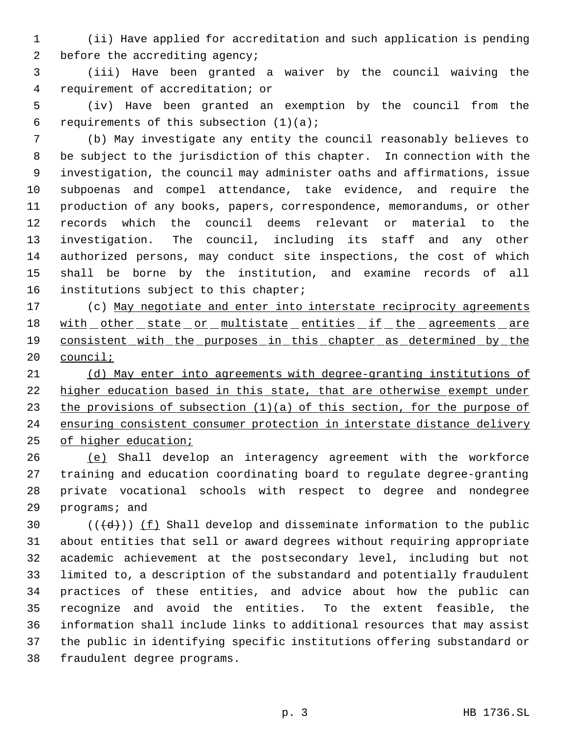(ii) Have applied for accreditation and such application is pending 2 before the accrediting agency;

 (iii) Have been granted a waiver by the council waiving the requirement of accreditation; or

 (iv) Have been granted an exemption by the council from the 6 requirements of this subsection  $(1)(a)$ ;

 (b) May investigate any entity the council reasonably believes to be subject to the jurisdiction of this chapter. In connection with the investigation, the council may administer oaths and affirmations, issue subpoenas and compel attendance, take evidence, and require the production of any books, papers, correspondence, memorandums, or other records which the council deems relevant or material to the investigation. The council, including its staff and any other authorized persons, may conduct site inspections, the cost of which shall be borne by the institution, and examine records of all 16 institutions subject to this chapter;

17 (c) May negotiate and enter into interstate reciprocity agreements 18 with other state or multistate entities if the agreements are 19 consistent with the purposes in this chapter as determined by the council;

 (d) May enter into agreements with degree-granting institutions of higher education based in this state, that are otherwise exempt under 23 the provisions of subsection  $(1)(a)$  of this section, for the purpose of 24 ensuring consistent consumer protection in interstate distance delivery of higher education;

 (e) Shall develop an interagency agreement with the workforce training and education coordinating board to regulate degree-granting private vocational schools with respect to degree and nondegree programs; and

 $((\{d\}))(\underline{f})$  Shall develop and disseminate information to the public about entities that sell or award degrees without requiring appropriate academic achievement at the postsecondary level, including but not limited to, a description of the substandard and potentially fraudulent practices of these entities, and advice about how the public can recognize and avoid the entities. To the extent feasible, the information shall include links to additional resources that may assist the public in identifying specific institutions offering substandard or fraudulent degree programs.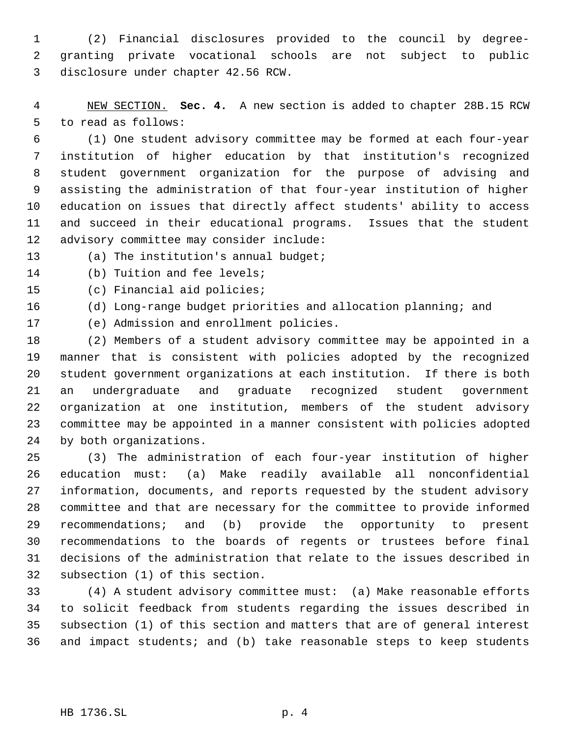(2) Financial disclosures provided to the council by degree- granting private vocational schools are not subject to public disclosure under chapter 42.56 RCW.

 NEW SECTION. **Sec. 4.** A new section is added to chapter 28B.15 RCW to read as follows:

 (1) One student advisory committee may be formed at each four-year institution of higher education by that institution's recognized student government organization for the purpose of advising and assisting the administration of that four-year institution of higher education on issues that directly affect students' ability to access and succeed in their educational programs. Issues that the student advisory committee may consider include:

(a) The institution's annual budget;

(b) Tuition and fee levels;

(c) Financial aid policies;

(d) Long-range budget priorities and allocation planning; and

(e) Admission and enrollment policies.

 (2) Members of a student advisory committee may be appointed in a manner that is consistent with policies adopted by the recognized student government organizations at each institution. If there is both an undergraduate and graduate recognized student government organization at one institution, members of the student advisory committee may be appointed in a manner consistent with policies adopted by both organizations.

 (3) The administration of each four-year institution of higher education must: (a) Make readily available all nonconfidential information, documents, and reports requested by the student advisory committee and that are necessary for the committee to provide informed recommendations; and (b) provide the opportunity to present recommendations to the boards of regents or trustees before final decisions of the administration that relate to the issues described in subsection (1) of this section.

 (4) A student advisory committee must: (a) Make reasonable efforts to solicit feedback from students regarding the issues described in subsection (1) of this section and matters that are of general interest and impact students; and (b) take reasonable steps to keep students